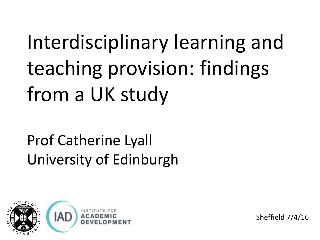# Interdisciplinary learning and teaching provision: findings from a UK study

#### Prof Catherine Lyall University of Edinburgh



Sheffield 7/4/16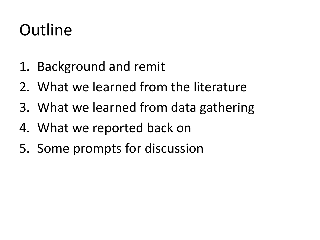### Outline

- 1. Background and remit
- 2. What we learned from the literature
- 3. What we learned from data gathering
- 4. What we reported back on
- 5. Some prompts for discussion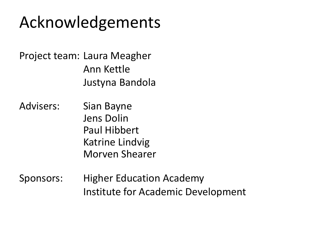#### Acknowledgements

Project team: Laura Meagher Ann Kettle Justyna Bandola

- Advisers: Sian Bayne Jens Dolin Paul Hibbert Katrine Lindvig Morven Shearer
- Sponsors: Higher Education Academy Institute for Academic Development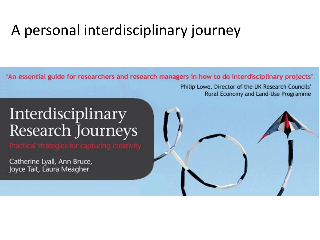#### A personal interdisciplinary journey

'An essential guide for researchers and research managers in how to do interdisciplinary projects'

#### Interdisciplinary Research Journeys

Catherine Lyall, Ann Bruce, Joyce Tait, Laura Meagher



Philip Lowe, Director of the UK Research Councils'

Rural Economy and Land-Use Programme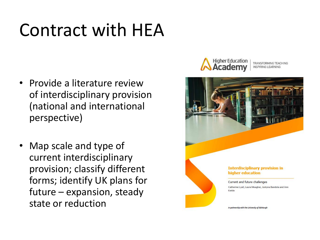## Contract with HEA

- Provide a literature review of interdisciplinary provision (national and international perspective)
- Map scale and type of current interdisciplinary provision; classify different forms; identify UK plans for future – expansion, steady state or reduction



TRANSFORMING TEACHING INSPIRING I FARNINI

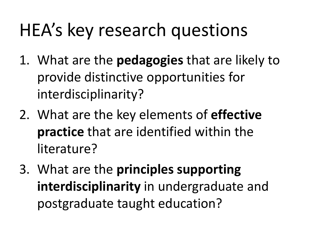## HEA's key research questions

- 1. What are the **pedagogies** that are likely to provide distinctive opportunities for interdisciplinarity?
- 2. What are the key elements of **effective practice** that are identified within the literature?
- 3. What are the **principles supporting interdisciplinarity** in undergraduate and postgraduate taught education?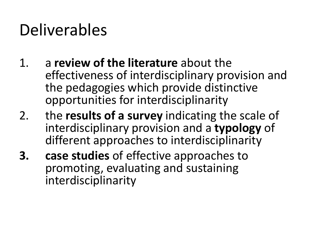#### Deliverables

- 1. a **review of the literature** about the effectiveness of interdisciplinary provision and the pedagogies which provide distinctive opportunities for interdisciplinarity
- 2. the **results of a survey** indicating the scale of interdisciplinary provision and a **typology** of different approaches to interdisciplinarity
- **3. case studies** of effective approaches to promoting, evaluating and sustaining interdisciplinarity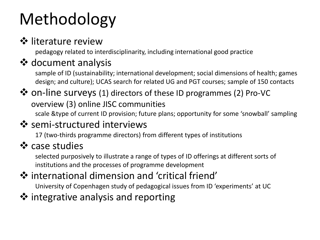### Methodology

#### $\diamond$  literature review

pedagogy related to interdisciplinarity, including international good practice

#### ❖ document analysis

sample of ID (sustainability; international development; social dimensions of health; games design; and culture); UCAS search for related UG and PGT courses; sample of 150 contacts

#### on-line surveys (1) directors of these ID programmes (2) Pro-VC overview (3) online JISC communities

scale &type of current ID provision; future plans; opportunity for some 'snowball' sampling

#### **❖** semi-structured interviews

17 (two-thirds programme directors) from different types of institutions

#### ❖ case studies

selected purposively to illustrate a range of types of ID offerings at different sorts of institutions and the processes of programme development

#### international dimension and 'critical friend'

University of Copenhagen study of pedagogical issues from ID 'experiments' at UC

#### ❖ integrative analysis and reporting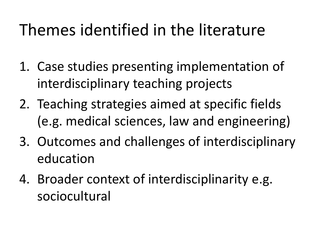### Themes identified in the literature

- 1. Case studies presenting implementation of interdisciplinary teaching projects
- 2. Teaching strategies aimed at specific fields (e.g. medical sciences, law and engineering)
- 3. Outcomes and challenges of interdisciplinary education
- 4. Broader context of interdisciplinarity e.g. sociocultural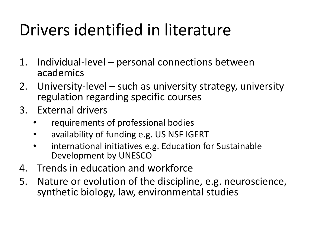### Drivers identified in literature

- 1. Individual-level personal connections between academics
- 2. University-level such as university strategy, university regulation regarding specific courses
- 3. External drivers
	- requirements of professional bodies
	- availability of funding e.g. US NSF IGERT
	- international initiatives e.g. Education for Sustainable Development by UNESCO
- 4. Trends in education and workforce
- 5. Nature or evolution of the discipline, e.g. neuroscience, synthetic biology, law, environmental studies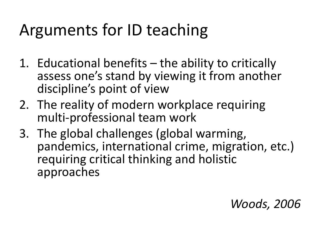### Arguments for ID teaching

- 1. Educational benefits the ability to critically assess one's stand by viewing it from another discipline's point of view
- 2. The reality of modern workplace requiring multi-professional team work
- 3. The global challenges (global warming, pandemics, international crime, migration, etc.) requiring critical thinking and holistic approaches

#### *Woods, 2006*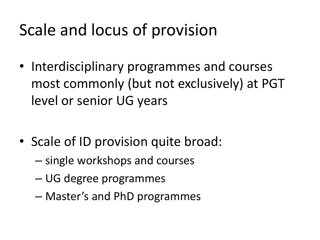### Scale and locus of provision

• Interdisciplinary programmes and courses most commonly (but not exclusively) at PGT level or senior UG years

- Scale of ID provision quite broad:
	- single workshops and courses
	- UG degree programmes
	- Master's and PhD programmes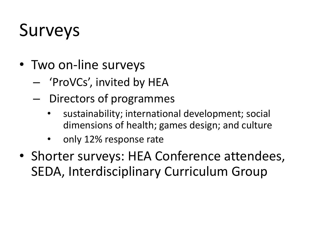## Surveys

- Two on-line surveys
	- 'ProVCs', invited by HEA
	- Directors of programmes
		- sustainability; international development; social dimensions of health; games design; and culture
		- only 12% response rate
- Shorter surveys: HEA Conference attendees, SEDA, Interdisciplinary Curriculum Group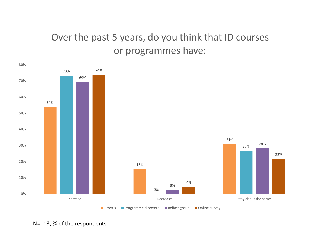#### Over the past 5 years, do you think that ID courses or programmes have:



N=113, % of the respondents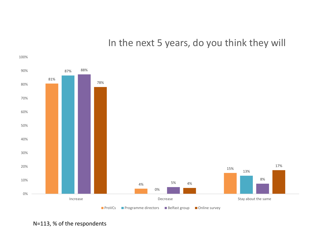In the next 5 years, do you think they will



N=113, % of the respondents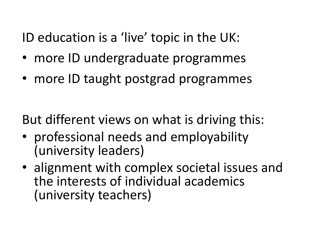ID education is a 'live' topic in the UK:

- more ID undergraduate programmes
- more ID taught postgrad programmes

But different views on what is driving this:

- professional needs and employability (university leaders)
- alignment with complex societal issues and the interests of individual academics (university teachers)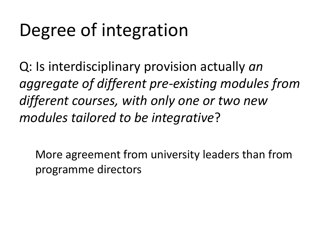## Degree of integration

Q: Is interdisciplinary provision actually *an aggregate of different pre-existing modules from different courses, with only one or two new modules tailored to be integrative*?

More agreement from university leaders than from programme directors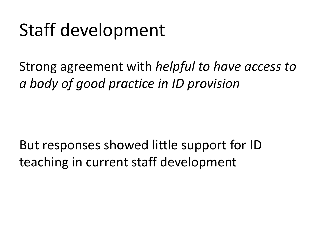## Staff development

Strong agreement with *helpful to have access to a body of good practice in ID provision*

But responses showed little support for ID teaching in current staff development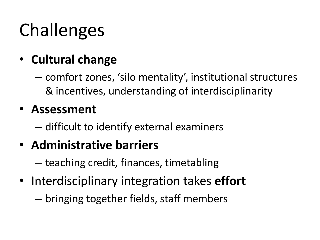# Challenges

- **Cultural change**
	- comfort zones, 'silo mentality', institutional structures & incentives, understanding of interdisciplinarity

#### • **Assessment**

– difficult to identify external examiners

#### • **Administrative barriers**

- teaching credit, finances, timetabling
- Interdisciplinary integration takes **effort**
	- bringing together fields, staff members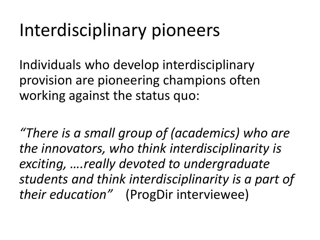## Interdisciplinary pioneers

Individuals who develop interdisciplinary provision are pioneering champions often working against the status quo:

*"There is a small group of (academics) who are the innovators, who think interdisciplinarity is exciting, ….really devoted to undergraduate students and think interdisciplinarity is a part of their education"* (ProgDir interviewee)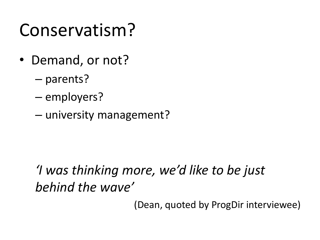### Conservatism?

- Demand, or not?
	- parents?
	- employers?
	- university management?

#### *'I was thinking more, we'd like to be just behind the wave'*

(Dean, quoted by ProgDir interviewee)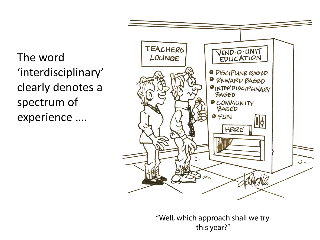The word 'interdisciplinary' clearly denotes a spectrum of experience ….



"Well, which approach shall we try this year?"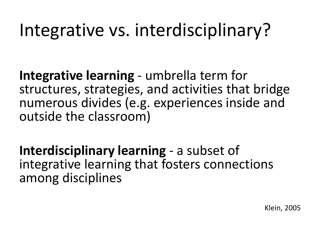## Integrative vs. interdisciplinary?

**Integrative learning** - umbrella term for structures, strategies, and activities that bridge numerous divides (e.g. experiences inside and outside the classroom)

**Interdisciplinary learning** - a subset of integrative learning that fosters connections among disciplines

Klein, 2005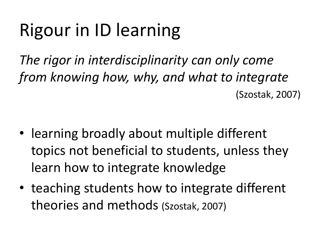# Rigour in ID learning

*The rigor in interdisciplinarity can only come from knowing how, why, and what to integrate* (Szostak, 2007)

- learning broadly about multiple different topics not beneficial to students, unless they learn how to integrate knowledge
- teaching students how to integrate different theories and methods (Szostak, 2007)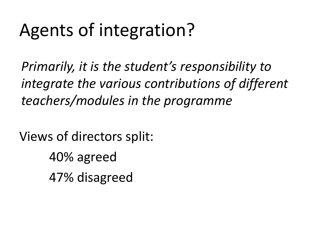## Agents of integration?

*Primarily, it is the student's responsibility to integrate the various contributions of different teachers/modules in the programme*

Views of directors split: 40% agreed 47% disagreed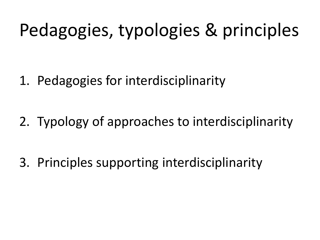## Pedagogies, typologies & principles

1. Pedagogies for interdisciplinarity

2. Typology of approaches to interdisciplinarity

3. Principles supporting interdisciplinarity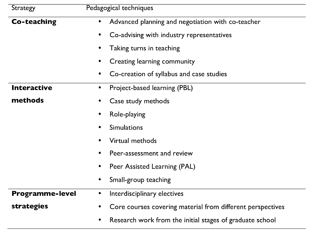| <b>Strategy</b>        | Pedagogical techniques                                     |
|------------------------|------------------------------------------------------------|
| Co-teaching            | Advanced planning and negotiation with co-teacher          |
|                        | Co-advising with industry representatives                  |
|                        | Taking turns in teaching                                   |
|                        | Creating learning community                                |
|                        | Co-creation of syllabus and case studies                   |
| <b>Interactive</b>     | Project-based learning (PBL)<br>$\bullet$                  |
| methods                | Case study methods                                         |
|                        | Role-playing                                               |
|                        | Simulations                                                |
|                        | Virtual methods                                            |
|                        | Peer-assessment and review                                 |
|                        | Peer Assisted Learning (PAL)                               |
|                        | Small-group teaching                                       |
| <b>Programme-level</b> | Interdisciplinary electives<br>$\bullet$                   |
| strategies             | Core courses covering material from different perspectives |
|                        | Research work from the initial stages of graduate school   |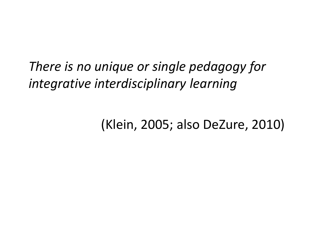#### *There is no unique or single pedagogy for integrative interdisciplinary learning*

#### (Klein, 2005; also DeZure, 2010)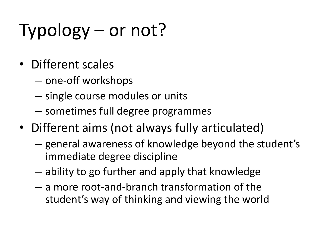# Typology – or not?

- Different scales
	- one-off workshops
	- single course modules or units
	- sometimes full degree programmes
- Different aims (not always fully articulated)
	- general awareness of knowledge beyond the student's immediate degree discipline
	- ability to go further and apply that knowledge
	- a more root-and-branch transformation of the student's way of thinking and viewing the world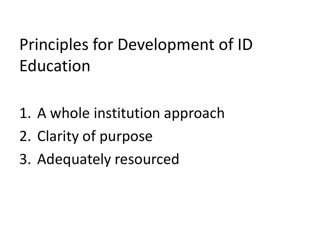### Principles for Development of ID Education

- 1. A whole institution approach
- 2. Clarity of purpose
- 3. Adequately resourced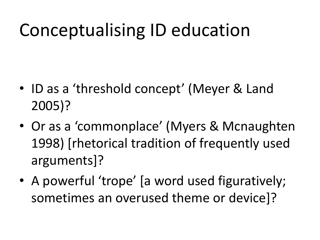## Conceptualising ID education

- ID as a 'threshold concept' (Meyer & Land 2005)?
- Or as a 'commonplace' (Myers & Mcnaughten 1998) [rhetorical tradition of frequently used arguments]?
- A powerful 'trope' [a word used figuratively; sometimes an overused theme or device]?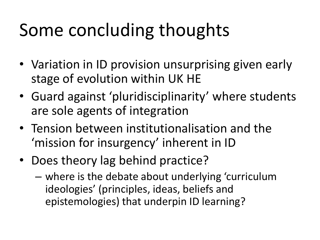# Some concluding thoughts

- Variation in ID provision unsurprising given early stage of evolution within UK HE
- Guard against 'pluridisciplinarity' where students are sole agents of integration
- Tension between institutionalisation and the 'mission for insurgency' inherent in ID
- Does theory lag behind practice?
	- where is the debate about underlying 'curriculum ideologies' (principles, ideas, beliefs and epistemologies) that underpin ID learning?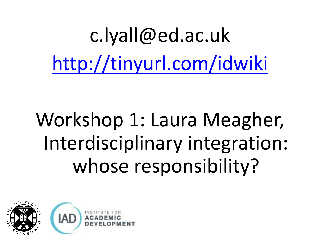c.lyall@ed.ac.u[k](http://tinyurl.com/idwiki) <http://tinyurl.com/idwiki>

# Workshop 1: Laura Meagher, Interdisciplinary integration: whose responsibility?

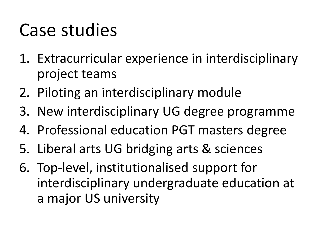### Case studies

- 1. Extracurricular experience in interdisciplinary project teams
- 2. Piloting an interdisciplinary module
- 3. New interdisciplinary UG degree programme
- 4. Professional education PGT masters degree
- 5. Liberal arts UG bridging arts & sciences
- 6. Top-level, institutionalised support for interdisciplinary undergraduate education at a major US university